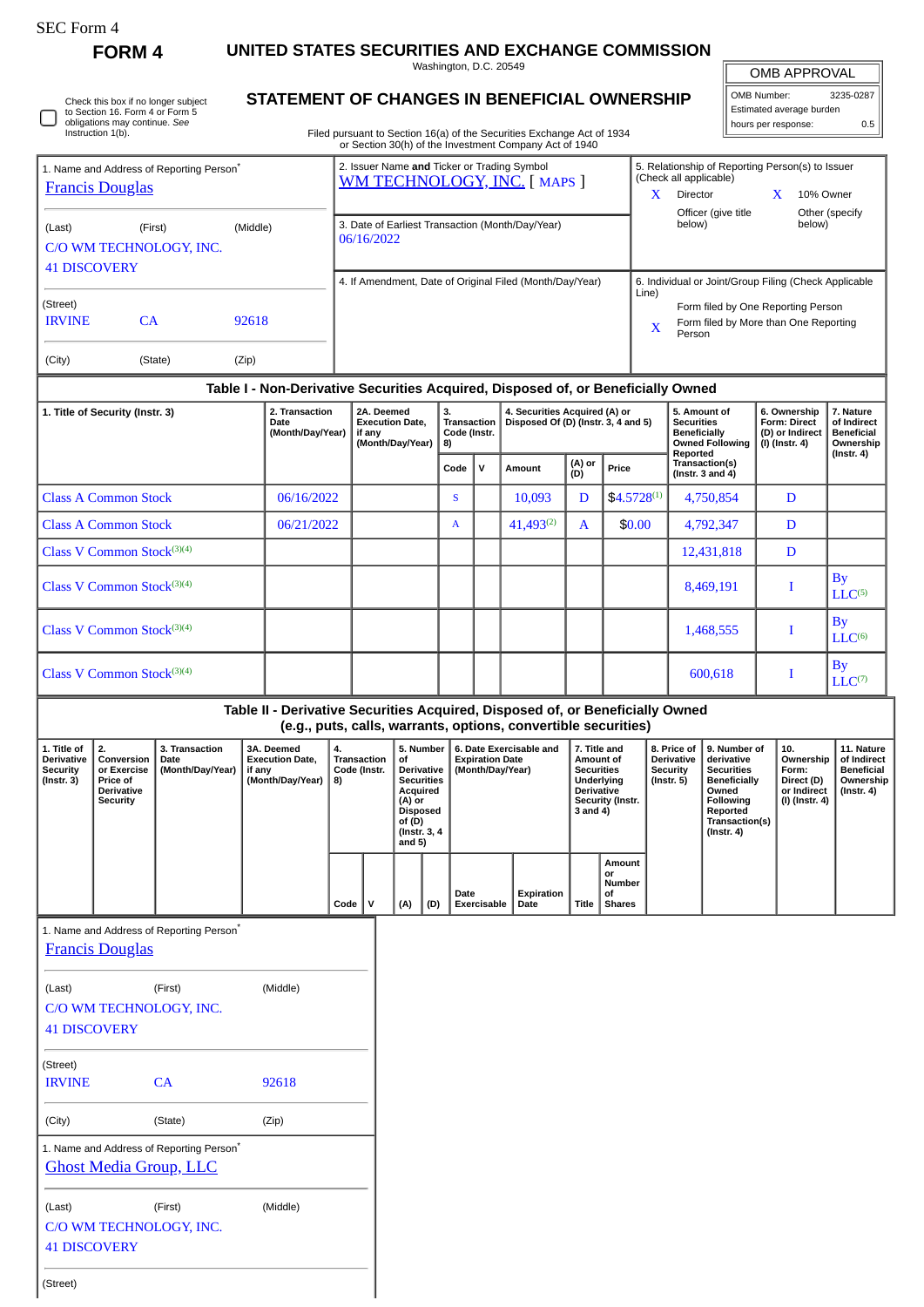∩

**FORM 4 UNITED STATES SECURITIES AND EXCHANGE COMMISSION**

Washington, D.C. 20549

| OMB APPROVAL |
|--------------|
|              |

 $0.5$ 

| Washington, D.C. 20549                                                 | OMB APPROVAL             |           |  |
|------------------------------------------------------------------------|--------------------------|-----------|--|
| STATEMENT OF CHANGES IN BENEFICIAL OWNERSHIP                           | OMB Number:              | 3235-0287 |  |
|                                                                        | Estimated average burden |           |  |
| Eiled pursuant to Section 16(a) of the Securities Exchange Act of 1934 | hours per response:      | 0.5       |  |

| Check this box if no longer subiect | STATEMENT OF CHANGES IN BENEFICIAL OWNI                                |
|-------------------------------------|------------------------------------------------------------------------|
| to Section 16. Form 4 or Form 5     |                                                                        |
| obligations may continue. See       |                                                                        |
| Instruction 1(b).                   | Filed pursuant to Section 16(a) of the Securities Exchange Act of 1934 |
|                                     | or Section 30(h) of the Investment Company Act of 1940                 |

| 1. Name and Address of Reporting Person <sup>®</sup><br><b>Francis Douglas</b> |                                    |                | 2. Issuer Name and Ticker or Trading Symbol<br>WM TECHNOLOGY, INC. [ MAPS ] | 5. Relationship of Reporting Person(s) to Issuer<br>(Check all applicable)                                                                                              |  |  |  |  |  |
|--------------------------------------------------------------------------------|------------------------------------|----------------|-----------------------------------------------------------------------------|-------------------------------------------------------------------------------------------------------------------------------------------------------------------------|--|--|--|--|--|
| (Last)<br><b>41 DISCOVERY</b>                                                  | (First)<br>C/O WM TECHNOLOGY, INC. | (Middle)       | 3. Date of Earliest Transaction (Month/Day/Year)<br>06/16/2022              | <b>Director</b><br>10% Owner<br>л<br>Officer (give title)<br>Other (specify<br>below)<br>below)                                                                         |  |  |  |  |  |
| (Street)<br><b>IRVINE</b><br>(City)                                            | <b>CA</b><br>(State)               | 92618<br>(Zip) | 4. If Amendment, Date of Original Filed (Month/Day/Year)                    | 6. Individual or Joint/Group Filing (Check Applicable<br>Line)<br>Form filed by One Reporting Person<br>Form filed by More than One Reporting<br>$\mathbf{x}$<br>Person |  |  |  |  |  |

## **Table I - Non-Derivative Securities Acquired, Disposed of, or Beneficially Owned**

| 1. Title of Security (Instr. 3) | 2. Transaction<br>Date<br>(Month/Day/Year) | 2A. Deemed<br><b>Execution Date.</b><br>if any<br>(Month/Day/Year) | 3.<br><b>Transaction</b><br>Code (Instr.<br>8) |             | 4. Securities Acquired (A) or<br>Disposed Of (D) (Instr. 3, 4 and 5) |               |                  | 5. Amount of<br><b>Securities</b><br><b>Beneficially</b><br><b>Owned Following</b> | 6. Ownership<br>Form: Direct<br>(D) or Indirect<br>(I) (Instr. 4) | 7. Nature<br>of Indirect<br><b>Beneficial</b><br>Ownership |
|---------------------------------|--------------------------------------------|--------------------------------------------------------------------|------------------------------------------------|-------------|----------------------------------------------------------------------|---------------|------------------|------------------------------------------------------------------------------------|-------------------------------------------------------------------|------------------------------------------------------------|
|                                 |                                            |                                                                    | Code                                           | $\mathbf v$ | Amount                                                               | (A) or<br>(D) | Price            | Reported<br>Transaction(s)<br>$($ Instr. 3 and 4 $)$                               |                                                                   | (Instr. 4)                                                 |
| <b>Class A Common Stock</b>     | 06/16/2022                                 |                                                                    | <sub>S</sub>                                   |             | 10,093                                                               | D             | $$4.5728^{(1)}$$ | 4,750,854                                                                          | D                                                                 |                                                            |
| <b>Class A Common Stock</b>     | 06/21/2022                                 |                                                                    | A                                              |             | $41,493^{(2)}$                                                       | $\mathbf{A}$  | \$0.00           | 4,792,347                                                                          | D                                                                 |                                                            |
| Class V Common Stock $(3)(4)$   |                                            |                                                                    |                                                |             |                                                                      |               |                  | 12,431,818                                                                         | D                                                                 |                                                            |
| Class V Common Stock $(3)(4)$   |                                            |                                                                    |                                                |             |                                                                      |               |                  | 8,469,191                                                                          |                                                                   | $\mathbf{B}\mathbf{v}$<br>LLC <sup>(5)</sup>               |
| Class V Common Stock $(3)(4)$   |                                            |                                                                    |                                                |             |                                                                      |               |                  | 1,468,555                                                                          |                                                                   | <b>By</b><br>LLC <sup>(6)</sup>                            |
| Class V Common Stock $(3)(4)$   |                                            |                                                                    |                                                |             |                                                                      |               |                  | 600,618                                                                            |                                                                   | $\mathbf{By}$<br>$LLC^{(7)}$                               |

## **Table II - Derivative Securities Acquired, Disposed of, or Beneficially Owned (e.g., puts, calls, warrants, options, convertible securities)**

|                                                                         |                                                                              |                                            | .                                                                    |                                         |  |                                                                                                                                     |     |                                                                       |                    |                                                                                                                   |                                                      |                                             |                                                                                                                                                             |                                                                            |                                                                                   |
|-------------------------------------------------------------------------|------------------------------------------------------------------------------|--------------------------------------------|----------------------------------------------------------------------|-----------------------------------------|--|-------------------------------------------------------------------------------------------------------------------------------------|-----|-----------------------------------------------------------------------|--------------------|-------------------------------------------------------------------------------------------------------------------|------------------------------------------------------|---------------------------------------------|-------------------------------------------------------------------------------------------------------------------------------------------------------------|----------------------------------------------------------------------------|-----------------------------------------------------------------------------------|
| 1. Title of<br><b>Derivative</b><br><b>Security</b><br>$($ Instr. 3 $)$ | 2.<br>Conversion<br>or Exercise<br>Price of<br><b>Derivative</b><br>Security | 3. Transaction<br>Date<br>(Month/Day/Year) | 3A. Deemed<br><b>Execution Date.</b><br>, if any<br>(Month/Day/Year) | 4.<br>Transaction<br>Code (Instr.<br>8) |  | 5. Number<br>of.<br>Derivative<br><b>Securities</b><br>Acquired<br>(A) or<br><b>Disposed</b><br>of (D)<br>(Instr. 3, 4)<br>and $5)$ |     | 6. Date Exercisable and<br><b>Expiration Date</b><br>(Month/Day/Year) |                    | 7. Title and<br>Amount of<br><b>Securities</b><br>Underlying<br><b>Derivative</b><br>Security (Instr.<br>3 and 4) |                                                      | <b>Derivative</b><br>Security<br>(Instr. 5) | 8. Price of 19. Number of<br>derivative<br><b>Securities</b><br><b>Beneficially</b><br>Owned<br>Following<br>Reported<br>Transaction(s)<br>$($ Instr. 4 $)$ | 10.<br>Ownership<br>Form:<br>Direct (D)<br>or Indirect<br>  (I) (Instr. 4) | 11. Nature<br>of Indirect<br><b>Beneficial</b><br>Ownership  <br>$($ Instr. 4 $)$ |
|                                                                         |                                                                              |                                            |                                                                      | Code                                    |  | (A)                                                                                                                                 | (D) | Date<br>Exercisable                                                   | Expiration<br>Date | <b>Title</b>                                                                                                      | Amount<br><b>or</b><br>Number<br>0f<br><b>Shares</b> |                                             |                                                                                                                                                             |                                                                            |                                                                                   |

1. Name and Address of Reporting Person<sup>\*</sup>

(Street)

| <b>Francis Douglas</b>                                                                |          |          |  |  |  |  |  |  |
|---------------------------------------------------------------------------------------|----------|----------|--|--|--|--|--|--|
| (Last)                                                                                | (Middle) |          |  |  |  |  |  |  |
| C/O WM TECHNOLOGY, INC.                                                               |          |          |  |  |  |  |  |  |
| <b>41 DISCOVERY</b>                                                                   |          |          |  |  |  |  |  |  |
| (Street)                                                                              |          |          |  |  |  |  |  |  |
| <b>IRVINE</b>                                                                         | CA       | 92618    |  |  |  |  |  |  |
| (City)                                                                                | (State)  | (Zip)    |  |  |  |  |  |  |
| 1. Name and Address of Reporting Person <sup>®</sup><br><b>Ghost Media Group, LLC</b> |          |          |  |  |  |  |  |  |
| (Last)                                                                                | (First)  | (Middle) |  |  |  |  |  |  |
| C/O WM TECHNOLOGY, INC.                                                               |          |          |  |  |  |  |  |  |
| <b>41 DISCOVERY</b>                                                                   |          |          |  |  |  |  |  |  |
|                                                                                       |          |          |  |  |  |  |  |  |